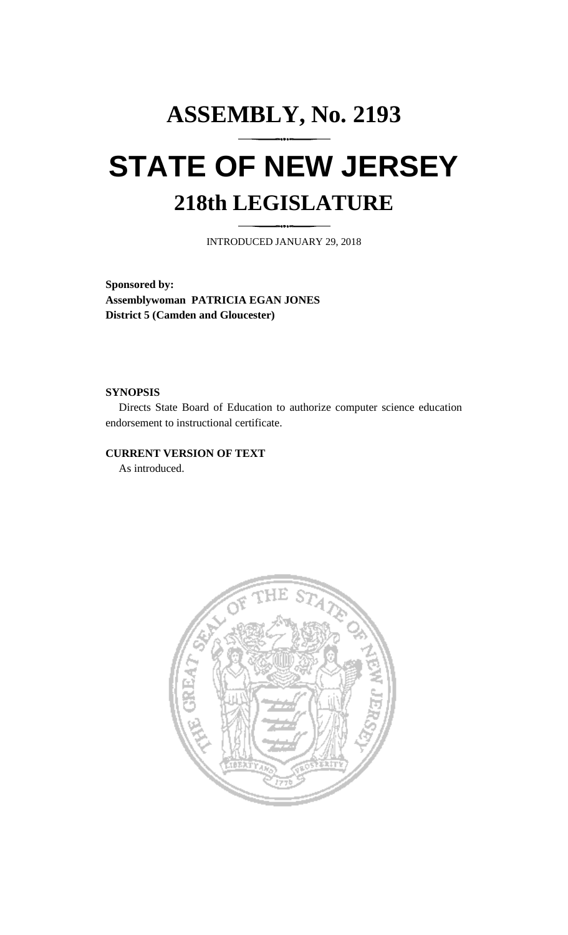## **ASSEMBLY, No. 2193 STATE OF NEW JERSEY 218th LEGISLATURE**

INTRODUCED JANUARY 29, 2018

**Sponsored by: Assemblywoman PATRICIA EGAN JONES District 5 (Camden and Gloucester)**

## **SYNOPSIS**

Directs State Board of Education to authorize computer science education endorsement to instructional certificate.

## **CURRENT VERSION OF TEXT**

As introduced.

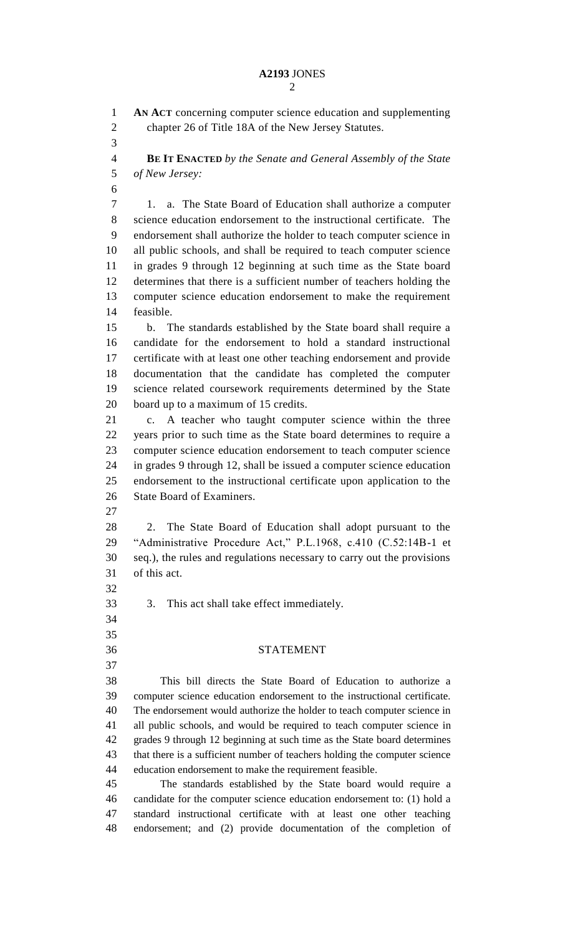## **A2193** JONES

 **AN ACT** concerning computer science education and supplementing chapter 26 of Title 18A of the New Jersey Statutes. **BE IT ENACTED** *by the Senate and General Assembly of the State of New Jersey:* 1. a. The State Board of Education shall authorize a computer science education endorsement to the instructional certificate. The endorsement shall authorize the holder to teach computer science in all public schools, and shall be required to teach computer science in grades 9 through 12 beginning at such time as the State board determines that there is a sufficient number of teachers holding the computer science education endorsement to make the requirement feasible. b. The standards established by the State board shall require a candidate for the endorsement to hold a standard instructional certificate with at least one other teaching endorsement and provide documentation that the candidate has completed the computer science related coursework requirements determined by the State board up to a maximum of 15 credits. c. A teacher who taught computer science within the three years prior to such time as the State board determines to require a computer science education endorsement to teach computer science in grades 9 through 12, shall be issued a computer science education endorsement to the instructional certificate upon application to the State Board of Examiners. 2. The State Board of Education shall adopt pursuant to the "Administrative Procedure Act," P.L.1968, c.410 (C.52:14B-1 et seq.), the rules and regulations necessary to carry out the provisions of this act. 3. This act shall take effect immediately. STATEMENT This bill directs the State Board of Education to authorize a computer science education endorsement to the instructional certificate. The endorsement would authorize the holder to teach computer science in all public schools, and would be required to teach computer science in grades 9 through 12 beginning at such time as the State board determines that there is a sufficient number of teachers holding the computer science education endorsement to make the requirement feasible. The standards established by the State board would require a candidate for the computer science education endorsement to: (1) hold a standard instructional certificate with at least one other teaching endorsement; and (2) provide documentation of the completion of